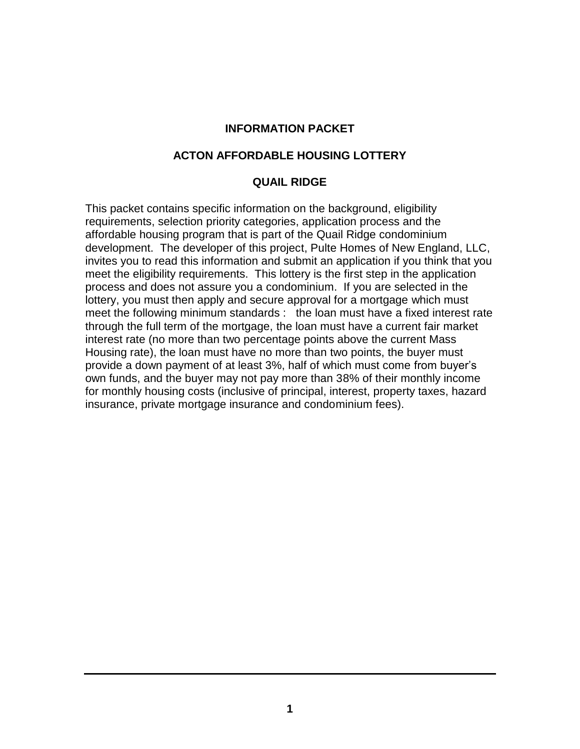#### **INFORMATION PACKET**

#### **ACTON AFFORDABLE HOUSING LOTTERY**

#### **QUAIL RIDGE**

This packet contains specific information on the background, eligibility requirements, selection priority categories, application process and the affordable housing program that is part of the Quail Ridge condominium development. The developer of this project, Pulte Homes of New England, LLC, invites you to read this information and submit an application if you think that you meet the eligibility requirements. This lottery is the first step in the application process and does not assure you a condominium. If you are selected in the lottery, you must then apply and secure approval for a mortgage which must meet the following minimum standards : the loan must have a fixed interest rate through the full term of the mortgage, the loan must have a current fair market interest rate (no more than two percentage points above the current Mass Housing rate), the loan must have no more than two points, the buyer must provide a down payment of at least 3%, half of which must come from buyer's own funds, and the buyer may not pay more than 38% of their monthly income for monthly housing costs (inclusive of principal, interest, property taxes, hazard insurance, private mortgage insurance and condominium fees).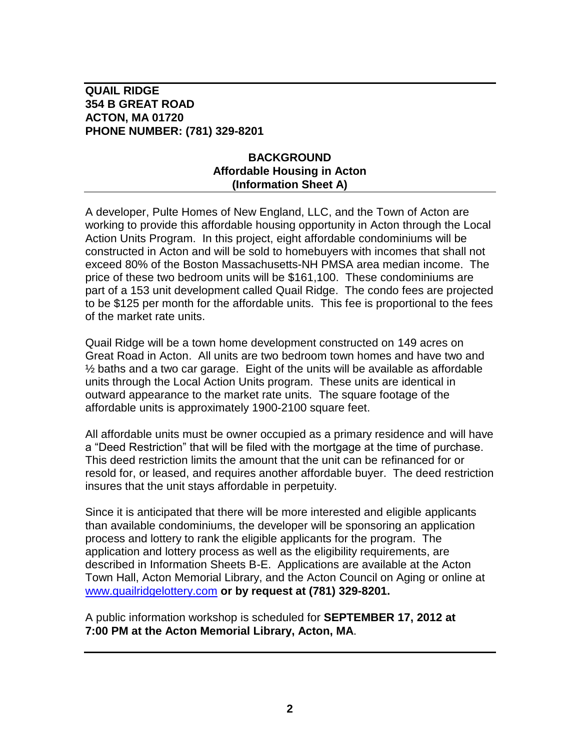## **BACKGROUND Affordable Housing in Acton (Information Sheet A)**

A developer, Pulte Homes of New England, LLC, and the Town of Acton are working to provide this affordable housing opportunity in Acton through the Local Action Units Program. In this project, eight affordable condominiums will be constructed in Acton and will be sold to homebuyers with incomes that shall not exceed 80% of the Boston Massachusetts-NH PMSA area median income. The price of these two bedroom units will be \$161,100. These condominiums are part of a 153 unit development called Quail Ridge. The condo fees are projected to be \$125 per month for the affordable units. This fee is proportional to the fees of the market rate units.

Quail Ridge will be a town home development constructed on 149 acres on Great Road in Acton. All units are two bedroom town homes and have two and ½ baths and a two car garage. Eight of the units will be available as affordable units through the Local Action Units program. These units are identical in outward appearance to the market rate units. The square footage of the affordable units is approximately 1900-2100 square feet.

All affordable units must be owner occupied as a primary residence and will have a "Deed Restriction" that will be filed with the mortgage at the time of purchase. This deed restriction limits the amount that the unit can be refinanced for or resold for, or leased, and requires another affordable buyer. The deed restriction insures that the unit stays affordable in perpetuity.

Since it is anticipated that there will be more interested and eligible applicants than available condominiums, the developer will be sponsoring an application process and lottery to rank the eligible applicants for the program. The application and lottery process as well as the eligibility requirements, are described in Information Sheets B-E. Applications are available at the Acton Town Hall, Acton Memorial Library, and the Acton Council on Aging or online at [www.quailridgelottery.com](http://www.quailridgelottery.com/) **or by request at (781) 329-8201.**

A public information workshop is scheduled for **SEPTEMBER 17, 2012 at 7:00 PM at the Acton Memorial Library, Acton, MA**.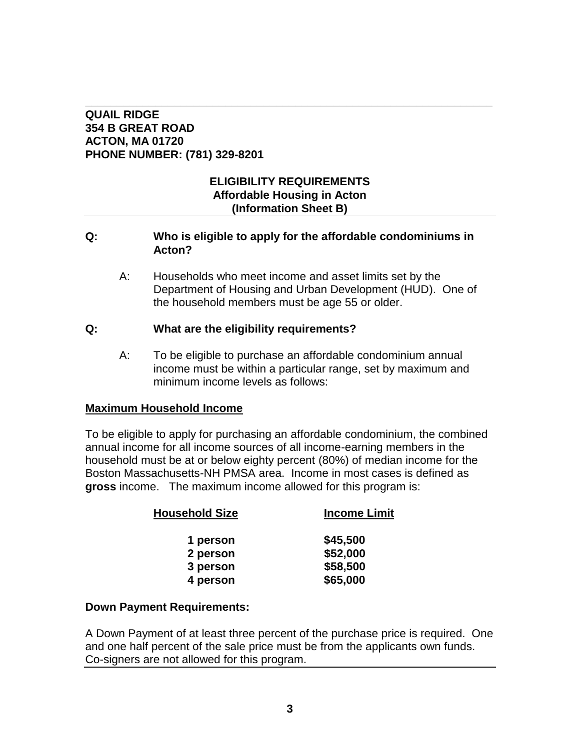#### **\_\_\_\_\_\_\_\_\_\_\_\_\_\_\_\_\_\_\_\_\_\_\_\_\_\_\_\_\_\_\_\_\_\_\_\_\_\_\_\_\_\_\_\_\_\_\_\_\_\_\_\_\_\_\_\_\_\_\_\_\_\_\_\_ QUAIL RIDGE 354 B GREAT ROAD ACTON, MA 01720 PHONE NUMBER: (781) 329-8201**

## **ELIGIBILITY REQUIREMENTS Affordable Housing in Acton (Information Sheet B)**

#### **Q: Who is eligible to apply for the affordable condominiums in Acton?**

A: Households who meet income and asset limits set by the Department of Housing and Urban Development (HUD). One of the household members must be age 55 or older.

## **Q: What are the eligibility requirements?**

A: To be eligible to purchase an affordable condominium annual income must be within a particular range, set by maximum and minimum income levels as follows:

## **Maximum Household Income**

To be eligible to apply for purchasing an affordable condominium, the combined annual income for all income sources of all income-earning members in the household must be at or below eighty percent (80%) of median income for the Boston Massachusetts-NH PMSA area. Income in most cases is defined as **gross** income. The maximum income allowed for this program is:

| <b>Household Size</b> | <b>Income Limit</b> |  |
|-----------------------|---------------------|--|
| 1 person              | \$45,500            |  |
| 2 person              | \$52,000            |  |
| 3 person              | \$58,500            |  |
| 4 person              | \$65,000            |  |
|                       |                     |  |

#### **Down Payment Requirements:**

A Down Payment of at least three percent of the purchase price is required. One and one half percent of the sale price must be from the applicants own funds. Co-signers are not allowed for this program.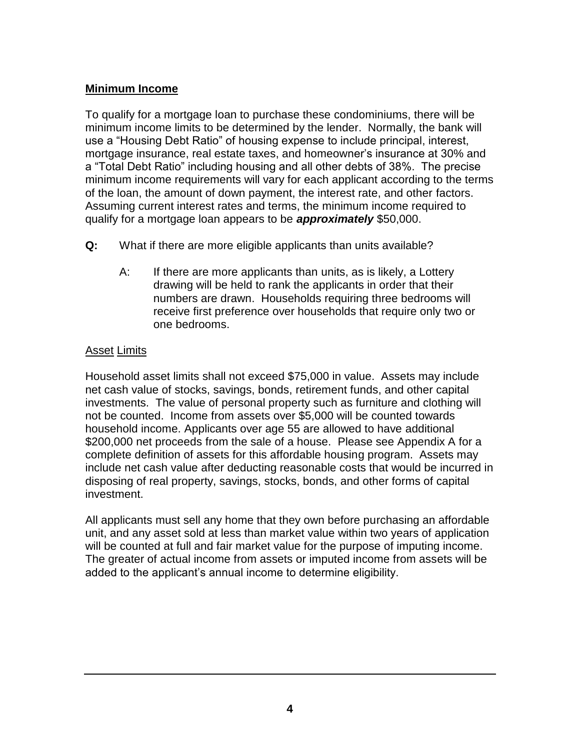## **Minimum Income**

To qualify for a mortgage loan to purchase these condominiums, there will be minimum income limits to be determined by the lender. Normally, the bank will use a "Housing Debt Ratio" of housing expense to include principal, interest, mortgage insurance, real estate taxes, and homeowner's insurance at 30% and a "Total Debt Ratio" including housing and all other debts of 38%. The precise minimum income requirements will vary for each applicant according to the terms of the loan, the amount of down payment, the interest rate, and other factors. Assuming current interest rates and terms, the minimum income required to qualify for a mortgage loan appears to be *approximately* \$50,000.

- **Q:** What if there are more eligible applicants than units available?
	- A: If there are more applicants than units, as is likely, a Lottery drawing will be held to rank the applicants in order that their numbers are drawn. Households requiring three bedrooms will receive first preference over households that require only two or one bedrooms.

## Asset Limits

Household asset limits shall not exceed \$75,000 in value. Assets may include net cash value of stocks, savings, bonds, retirement funds, and other capital investments. The value of personal property such as furniture and clothing will not be counted. Income from assets over \$5,000 will be counted towards household income. Applicants over age 55 are allowed to have additional \$200,000 net proceeds from the sale of a house. Please see Appendix A for a complete definition of assets for this affordable housing program. Assets may include net cash value after deducting reasonable costs that would be incurred in disposing of real property, savings, stocks, bonds, and other forms of capital investment.

All applicants must sell any home that they own before purchasing an affordable unit, and any asset sold at less than market value within two years of application will be counted at full and fair market value for the purpose of imputing income. The greater of actual income from assets or imputed income from assets will be added to the applicant's annual income to determine eligibility.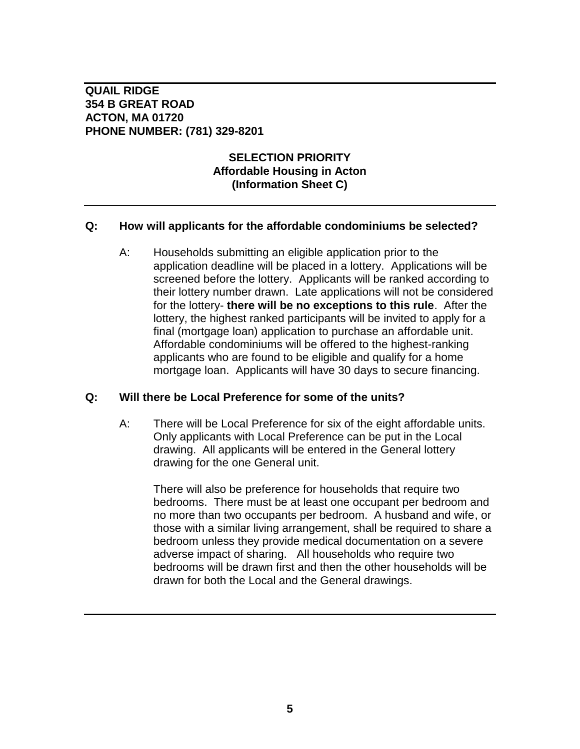## **SELECTION PRIORITY Affordable Housing in Acton (Information Sheet C)**

#### **Q: How will applicants for the affordable condominiums be selected?**

A: Households submitting an eligible application prior to the application deadline will be placed in a lottery. Applications will be screened before the lottery. Applicants will be ranked according to their lottery number drawn. Late applications will not be considered for the lottery- **there will be no exceptions to this rule**. After the lottery, the highest ranked participants will be invited to apply for a final (mortgage loan) application to purchase an affordable unit. Affordable condominiums will be offered to the highest-ranking applicants who are found to be eligible and qualify for a home mortgage loan. Applicants will have 30 days to secure financing.

#### **Q: Will there be Local Preference for some of the units?**

A: There will be Local Preference for six of the eight affordable units. Only applicants with Local Preference can be put in the Local drawing. All applicants will be entered in the General lottery drawing for the one General unit.

There will also be preference for households that require two bedrooms. There must be at least one occupant per bedroom and no more than two occupants per bedroom. A husband and wife, or those with a similar living arrangement, shall be required to share a bedroom unless they provide medical documentation on a severe adverse impact of sharing. All households who require two bedrooms will be drawn first and then the other households will be drawn for both the Local and the General drawings.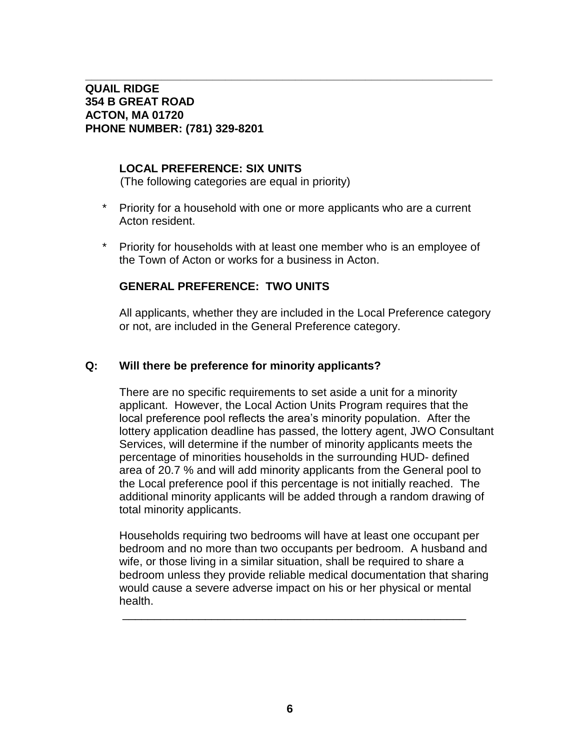#### **LOCAL PREFERENCE: SIX UNITS**

(The following categories are equal in priority)

\* Priority for a household with one or more applicants who are a current Acton resident.

**\_\_\_\_\_\_\_\_\_\_\_\_\_\_\_\_\_\_\_\_\_\_\_\_\_\_\_\_\_\_\_\_\_\_\_\_\_\_\_\_\_\_\_\_\_\_\_\_\_\_\_\_\_\_\_\_\_\_\_\_\_\_\_\_**

\* Priority for households with at least one member who is an employee of the Town of Acton or works for a business in Acton.

#### **GENERAL PREFERENCE: TWO UNITS**

All applicants, whether they are included in the Local Preference category or not, are included in the General Preference category.

#### **Q: Will there be preference for minority applicants?**

There are no specific requirements to set aside a unit for a minority applicant. However, the Local Action Units Program requires that the local preference pool reflects the area's minority population. After the lottery application deadline has passed, the lottery agent, JWO Consultant Services, will determine if the number of minority applicants meets the percentage of minorities households in the surrounding HUD- defined area of 20.7 % and will add minority applicants from the General pool to the Local preference pool if this percentage is not initially reached. The additional minority applicants will be added through a random drawing of total minority applicants.

Households requiring two bedrooms will have at least one occupant per bedroom and no more than two occupants per bedroom. A husband and wife, or those living in a similar situation, shall be required to share a bedroom unless they provide reliable medical documentation that sharing would cause a severe adverse impact on his or her physical or mental health.

\_\_\_\_\_\_\_\_\_\_\_\_\_\_\_\_\_\_\_\_\_\_\_\_\_\_\_\_\_\_\_\_\_\_\_\_\_\_\_\_\_\_\_\_\_\_\_\_\_\_\_\_\_\_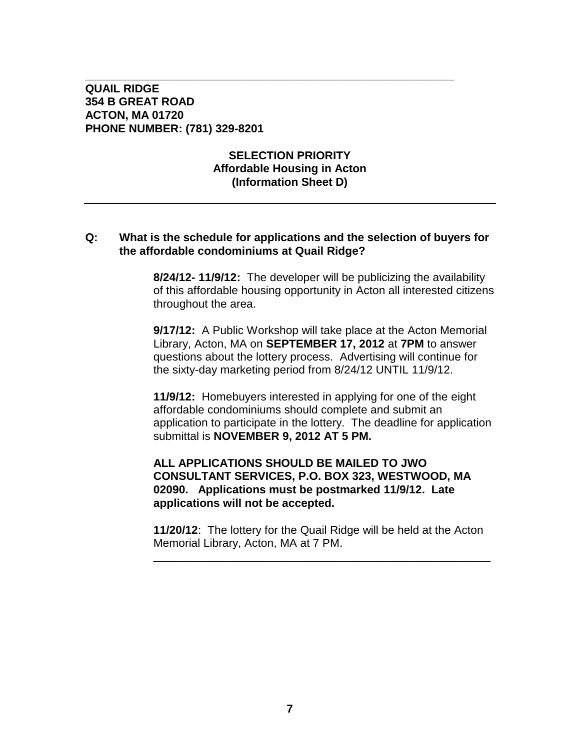## **SELECTION PRIORITY Affordable Housing in Acton (Information Sheet D)**

**\_\_\_\_\_\_\_\_\_\_\_\_\_\_\_\_\_\_\_\_\_\_\_\_\_\_\_\_\_\_\_\_\_\_\_\_\_\_\_\_\_\_\_\_\_\_\_\_\_\_\_\_\_\_\_\_\_\_**

#### **Q: What is the schedule for applications and the selection of buyers for the affordable condominiums at Quail Ridge?**

**8/24/12- 11/9/12:** The developer will be publicizing the availability of this affordable housing opportunity in Acton all interested citizens throughout the area.

**9/17/12:** A Public Workshop will take place at the Acton Memorial Library, Acton, MA on **SEPTEMBER 17, 2012** at **7PM** to answer questions about the lottery process. Advertising will continue for the sixty-day marketing period from 8/24/12 UNTIL 11/9/12.

**11/9/12:** Homebuyers interested in applying for one of the eight affordable condominiums should complete and submit an application to participate in the lottery. The deadline for application submittal is **NOVEMBER 9, 2012 AT 5 PM.** 

#### **ALL APPLICATIONS SHOULD BE MAILED TO JWO CONSULTANT SERVICES, P.O. BOX 323, WESTWOOD, MA 02090. Applications must be postmarked 11/9/12. Late applications will not be accepted.**

**11/20/12**: The lottery for the Quail Ridge will be held at the Acton Memorial Library, Acton, MA at 7 PM.

\_\_\_\_\_\_\_\_\_\_\_\_\_\_\_\_\_\_\_\_\_\_\_\_\_\_\_\_\_\_\_\_\_\_\_\_\_\_\_\_\_\_\_\_\_\_\_\_\_\_\_\_\_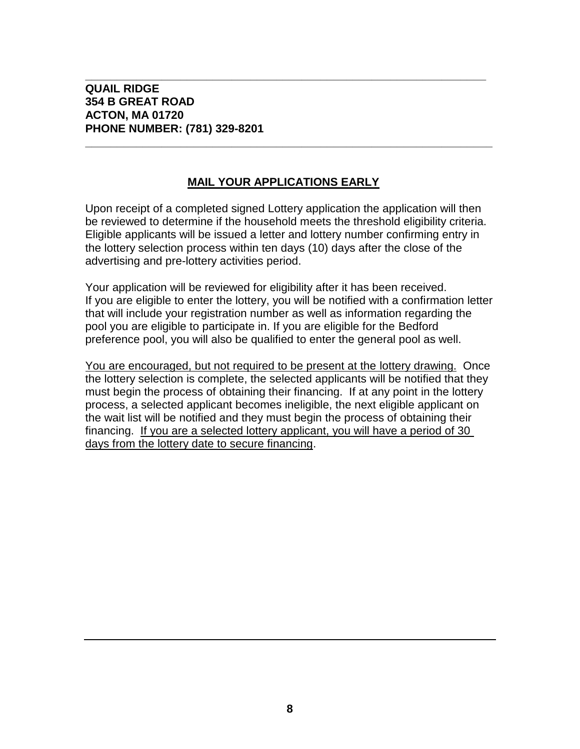## **MAIL YOUR APPLICATIONS EARLY**

**\_\_\_\_\_\_\_\_\_\_\_\_\_\_\_\_\_\_\_\_\_\_\_\_\_\_\_\_\_\_\_\_\_\_\_\_\_\_\_\_\_\_\_\_\_\_\_\_\_\_\_\_\_\_\_\_\_\_\_\_\_\_\_\_**

**\_\_\_\_\_\_\_\_\_\_\_\_\_\_\_\_\_\_\_\_\_\_\_\_\_\_\_\_\_\_\_\_\_\_\_\_\_\_\_\_\_\_\_\_\_\_\_\_\_\_\_\_\_\_\_\_\_\_\_\_\_\_\_**

Upon receipt of a completed signed Lottery application the application will then be reviewed to determine if the household meets the threshold eligibility criteria. Eligible applicants will be issued a letter and lottery number confirming entry in the lottery selection process within ten days (10) days after the close of the advertising and pre-lottery activities period.

Your application will be reviewed for eligibility after it has been received. If you are eligible to enter the lottery, you will be notified with a confirmation letter that will include your registration number as well as information regarding the pool you are eligible to participate in. If you are eligible for the Bedford preference pool, you will also be qualified to enter the general pool as well.

You are encouraged, but not required to be present at the lottery drawing. Once the lottery selection is complete, the selected applicants will be notified that they must begin the process of obtaining their financing. If at any point in the lottery process, a selected applicant becomes ineligible, the next eligible applicant on the wait list will be notified and they must begin the process of obtaining their financing. If you are a selected lottery applicant, you will have a period of 30 days from the lottery date to secure financing.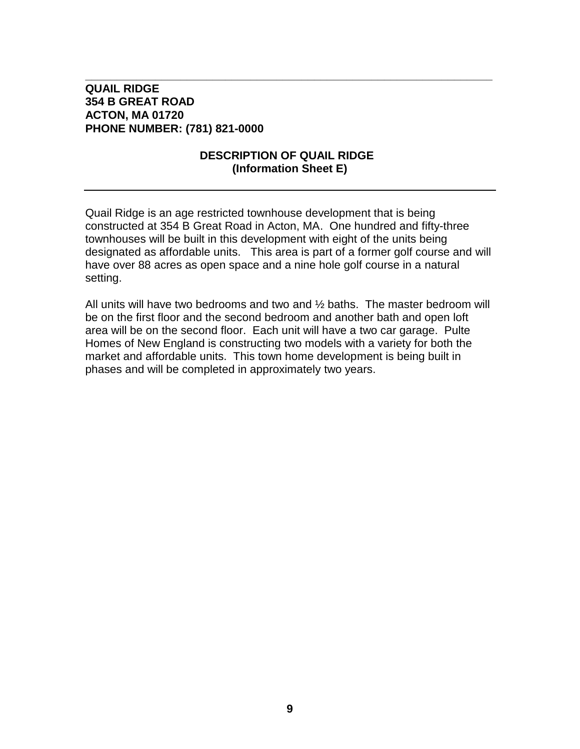## **DESCRIPTION OF QUAIL RIDGE (Information Sheet E)**

**\_\_\_\_\_\_\_\_\_\_\_\_\_\_\_\_\_\_\_\_\_\_\_\_\_\_\_\_\_\_\_\_\_\_\_\_\_\_\_\_\_\_\_\_\_\_\_\_\_\_\_\_\_\_\_\_\_\_\_\_\_\_\_\_**

Quail Ridge is an age restricted townhouse development that is being constructed at 354 B Great Road in Acton, MA. One hundred and fifty-three townhouses will be built in this development with eight of the units being designated as affordable units. This area is part of a former golf course and will have over 88 acres as open space and a nine hole golf course in a natural setting.

All units will have two bedrooms and two and ½ baths. The master bedroom will be on the first floor and the second bedroom and another bath and open loft area will be on the second floor. Each unit will have a two car garage. Pulte Homes of New England is constructing two models with a variety for both the market and affordable units. This town home development is being built in phases and will be completed in approximately two years.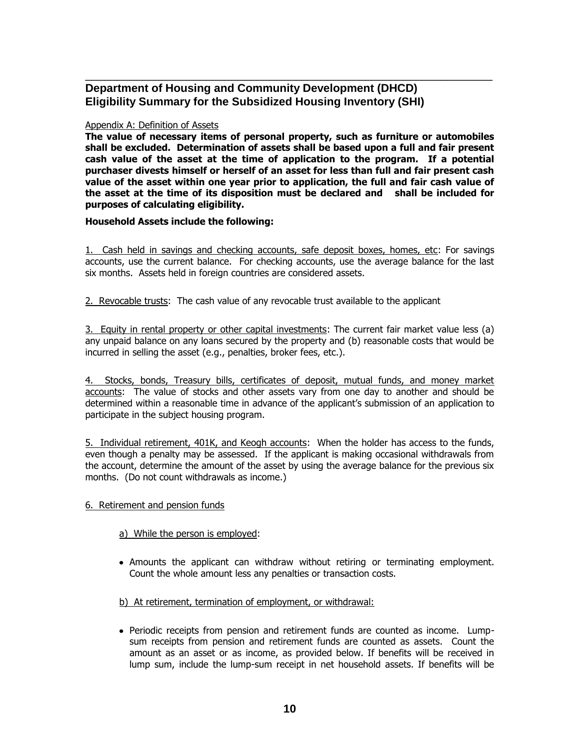#### **Department of Housing and Community Development (DHCD) Eligibility Summary for the Subsidized Housing Inventory (SHI)**

#### Appendix A: Definition of Assets

**The value of necessary items of personal property, such as furniture or automobiles shall be excluded. Determination of assets shall be based upon a full and fair present cash value of the asset at the time of application to the program. If a potential purchaser divests himself or herself of an asset for less than full and fair present cash value of the asset within one year prior to application, the full and fair cash value of the asset at the time of its disposition must be declared and shall be included for purposes of calculating eligibility.** 

\_\_\_\_\_\_\_\_\_\_\_\_\_\_\_\_\_\_\_\_\_\_\_\_\_\_\_\_\_\_\_\_\_\_\_\_\_\_\_\_\_\_\_\_\_\_\_\_\_\_\_\_\_\_\_\_\_\_\_\_\_\_\_\_

#### **Household Assets include the following:**

1. Cash held in savings and checking accounts, safe deposit boxes, homes, etc: For savings accounts, use the current balance. For checking accounts, use the average balance for the last six months. Assets held in foreign countries are considered assets.

2. Revocable trusts: The cash value of any revocable trust available to the applicant

3. Equity in rental property or other capital investments: The current fair market value less (a) any unpaid balance on any loans secured by the property and (b) reasonable costs that would be incurred in selling the asset (e.g., penalties, broker fees, etc.).

4. Stocks, bonds, Treasury bills, certificates of deposit, mutual funds, and money market accounts: The value of stocks and other assets vary from one day to another and should be determined within a reasonable time in advance of the applicant's submission of an application to participate in the subject housing program.

5. Individual retirement, 401K, and Keogh accounts: When the holder has access to the funds, even though a penalty may be assessed. If the applicant is making occasional withdrawals from the account, determine the amount of the asset by using the average balance for the previous six months. (Do not count withdrawals as income.)

#### 6. Retirement and pension funds

#### a) While the person is employed:

Amounts the applicant can withdraw without retiring or terminating employment. Count the whole amount less any penalties or transaction costs.

#### b) At retirement, termination of employment, or withdrawal:

Periodic receipts from pension and retirement funds are counted as income. Lumpsum receipts from pension and retirement funds are counted as assets. Count the amount as an asset or as income, as provided below. If benefits will be received in lump sum, include the lump-sum receipt in net household assets. If benefits will be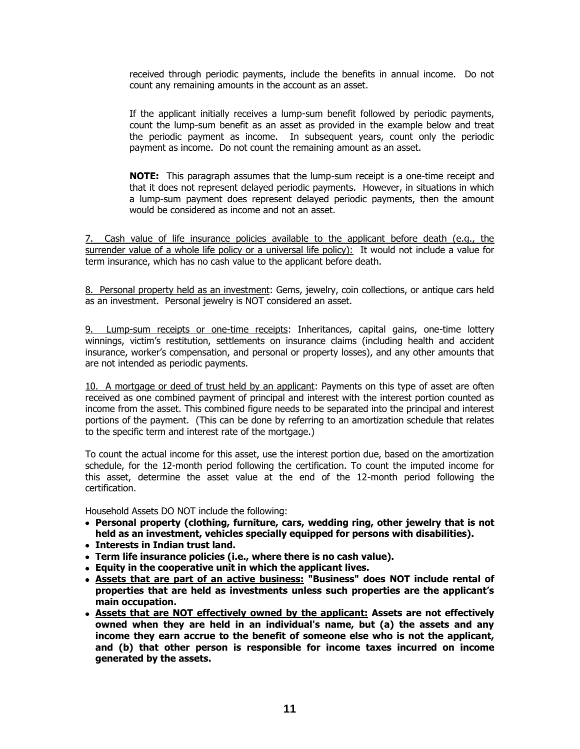received through periodic payments, include the benefits in annual income. Do not count any remaining amounts in the account as an asset.

If the applicant initially receives a lump-sum benefit followed by periodic payments, count the lump-sum benefit as an asset as provided in the example below and treat the periodic payment as income. In subsequent years, count only the periodic payment as income. Do not count the remaining amount as an asset.

**NOTE:** This paragraph assumes that the lump-sum receipt is a one-time receipt and that it does not represent delayed periodic payments. However, in situations in which a lump-sum payment does represent delayed periodic payments, then the amount would be considered as income and not an asset.

7. Cash value of life insurance policies available to the applicant before death (e.g., the surrender value of a whole life policy or a universal life policy): It would not include a value for term insurance, which has no cash value to the applicant before death.

8. Personal property held as an investment: Gems, jewelry, coin collections, or antique cars held as an investment. Personal jewelry is NOT considered an asset.

9. Lump-sum receipts or one-time receipts: Inheritances, capital gains, one-time lottery winnings, victim's restitution, settlements on insurance claims (including health and accident insurance, worker's compensation, and personal or property losses), and any other amounts that are not intended as periodic payments.

10. A mortgage or deed of trust held by an applicant: Payments on this type of asset are often received as one combined payment of principal and interest with the interest portion counted as income from the asset. This combined figure needs to be separated into the principal and interest portions of the payment. (This can be done by referring to an amortization schedule that relates to the specific term and interest rate of the mortgage.)

To count the actual income for this asset, use the interest portion due, based on the amortization schedule, for the 12-month period following the certification. To count the imputed income for this asset, determine the asset value at the end of the 12-month period following the certification.

Household Assets DO NOT include the following:

- **Personal property (clothing, furniture, cars, wedding ring, other jewelry that is not held as an investment, vehicles specially equipped for persons with disabilities).**
- **Interests in Indian trust land.**
- **Term life insurance policies (i.e., where there is no cash value).**
- **Equity in the cooperative unit in which the applicant lives.**
- **Assets that are part of an active business: "Business" does NOT include rental of properties that are held as investments unless such properties are the applicant's main occupation.**
- **Assets that are NOT effectively owned by the applicant: Assets are not effectively owned when they are held in an individual's name, but (a) the assets and any income they earn accrue to the benefit of someone else who is not the applicant, and (b) that other person is responsible for income taxes incurred on income generated by the assets.**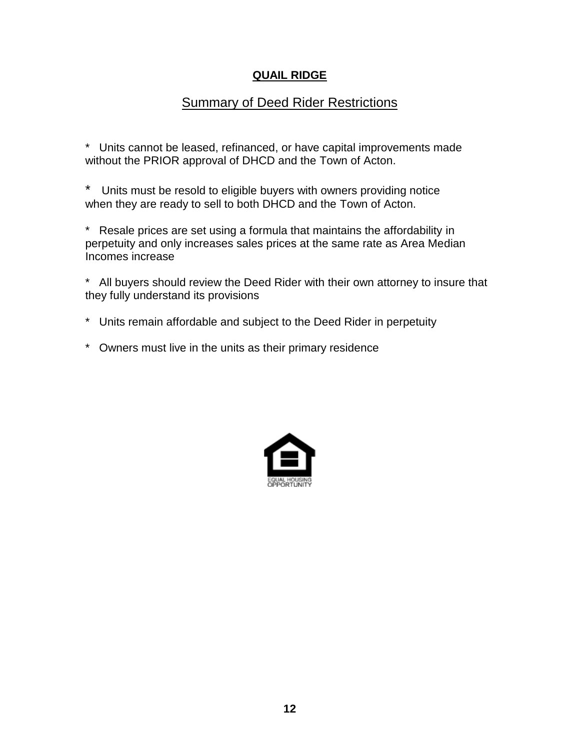## **QUAIL RIDGE**

# **Summary of Deed Rider Restrictions**

\* Units cannot be leased, refinanced, or have capital improvements made without the PRIOR approval of DHCD and the Town of Acton.

\* Units must be resold to eligible buyers with owners providing notice when they are ready to sell to both DHCD and the Town of Acton.

\* Resale prices are set using a formula that maintains the affordability in perpetuity and only increases sales prices at the same rate as Area Median Incomes increase

\* All buyers should review the Deed Rider with their own attorney to insure that they fully understand its provisions

- \* Units remain affordable and subject to the Deed Rider in perpetuity
- \* Owners must live in the units as their primary residence

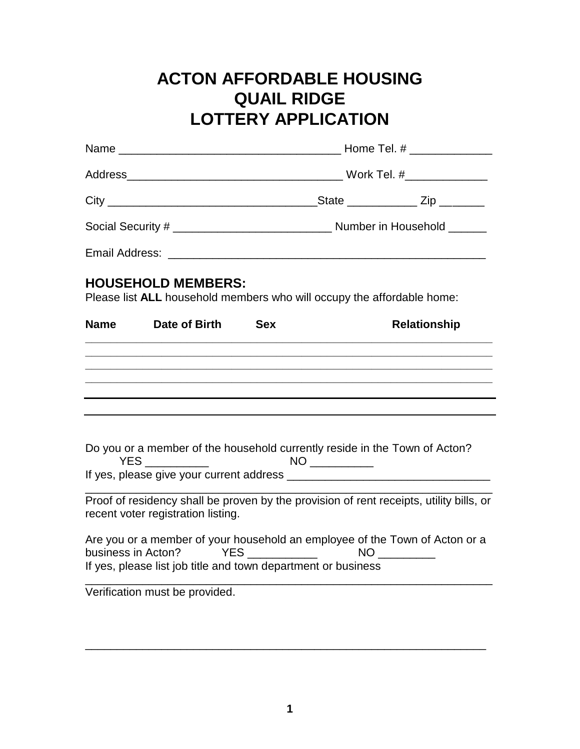# **ACTON AFFORDABLE HOUSING QUAIL RIDGE LOTTERY APPLICATION**

|             | <b>HOUSEHOLD MEMBERS:</b><br>Please list ALL household members who will occupy the affordable home:                                                                                                       |            |  |                                                                                         |  |
|-------------|-----------------------------------------------------------------------------------------------------------------------------------------------------------------------------------------------------------|------------|--|-----------------------------------------------------------------------------------------|--|
| <b>Name</b> | Date of Birth                                                                                                                                                                                             | <b>Sex</b> |  | <b>Relationship</b>                                                                     |  |
|             |                                                                                                                                                                                                           |            |  |                                                                                         |  |
|             | <u> 1980 - Johann Stoff, amerikan bestein de stad in de stad in de stad in de stad in de stad in de stad in de st</u><br>,我们也不能在这里的时候,我们也不能在这里的时候,我们也不能在这里的时候,我们也不能会在这里的时候,我们也不能会在这里的时候,我们也不能会在这里的时候,我们也不 |            |  |                                                                                         |  |
|             |                                                                                                                                                                                                           |            |  |                                                                                         |  |
|             | Do you or a member of the household currently reside in the Town of Acton?                                                                                                                                |            |  |                                                                                         |  |
|             |                                                                                                                                                                                                           |            |  |                                                                                         |  |
|             | recent voter registration listing.                                                                                                                                                                        |            |  | Proof of residency shall be proven by the provision of rent receipts, utility bills, or |  |
|             | If yes, please list job title and town department or business                                                                                                                                             |            |  | Are you or a member of your household an employee of the Town of Acton or a             |  |
|             | Verification must be provided.                                                                                                                                                                            |            |  |                                                                                         |  |

\_\_\_\_\_\_\_\_\_\_\_\_\_\_\_\_\_\_\_\_\_\_\_\_\_\_\_\_\_\_\_\_\_\_\_\_\_\_\_\_\_\_\_\_\_\_\_\_\_\_\_\_\_\_\_\_\_\_\_\_\_\_\_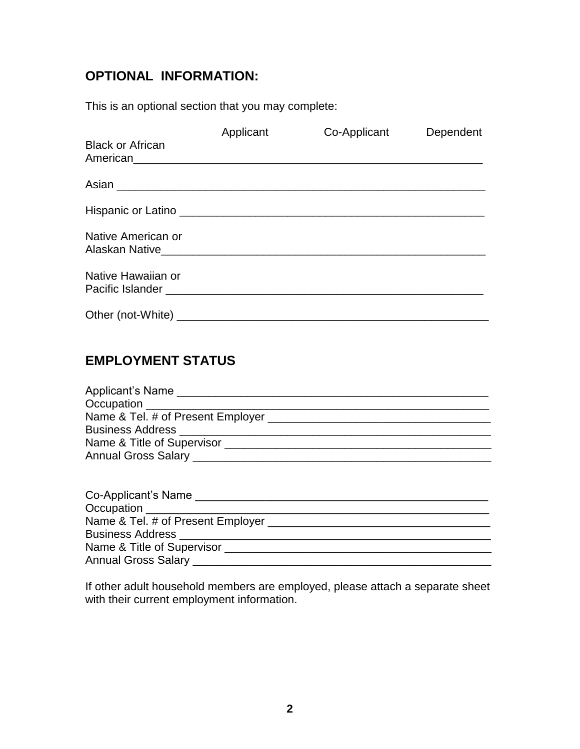# **OPTIONAL INFORMATION:**

This is an optional section that you may complete:

| <b>Black or African</b> | Applicant | Co-Applicant | Dependent |
|-------------------------|-----------|--------------|-----------|
|                         |           |              |           |
|                         |           |              |           |
| Native American or      |           |              |           |
| Native Hawaiian or      |           |              |           |
|                         |           |              |           |

# **EMPLOYMENT STATUS**

| Applicant's Name                             |
|----------------------------------------------|
|                                              |
| Name & Tel. # of Present Employer __________ |
| Business Address _________________           |
| Name & Title of Supervisor                   |
| Annual Gross Salary _____________            |

| Co-Applicant's Name                   |  |
|---------------------------------------|--|
| Occupation ______________             |  |
| Name & Tel. # of Present Employer ___ |  |
| <b>Business Address</b>               |  |
| Name & Title of Supervisor            |  |
| Annual Gross Salary _                 |  |

If other adult household members are employed, please attach a separate sheet with their current employment information.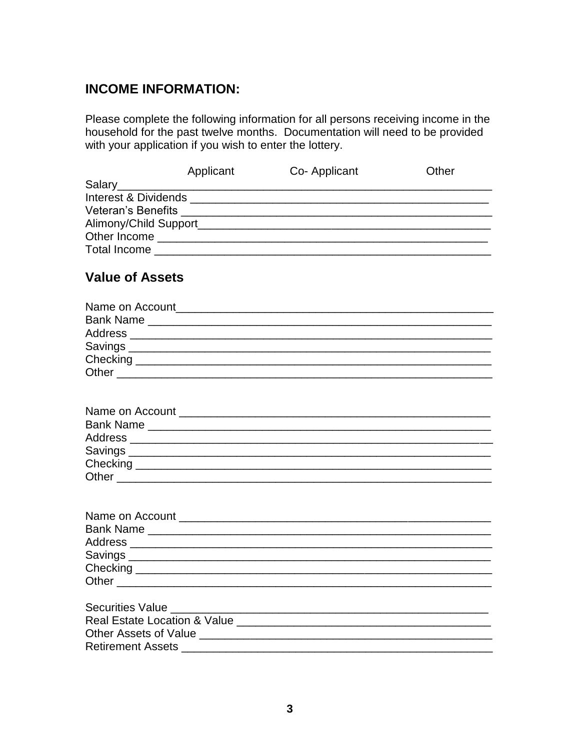# **INCOME INFORMATION:**

Please complete the following information for all persons receiving income in the household for the past twelve months. Documentation will need to be provided with your application if you wish to enter the lottery.

|                           | Applicant | Co-Applicant | Other |
|---------------------------|-----------|--------------|-------|
| Salary                    |           |              |       |
| Interest & Dividends      |           |              |       |
| <b>Veteran's Benefits</b> |           |              |       |
| Alimony/Child Support     |           |              |       |
| Other Income              |           |              |       |
| Total Income              |           |              |       |
|                           |           |              |       |

# Value of Assets

| Name on Account and the control of the control of the control of the control of the control of the control of the control of the control of the control of the control of the control of the control of the control of the con |  |
|--------------------------------------------------------------------------------------------------------------------------------------------------------------------------------------------------------------------------------|--|
| Bank Name ________________________                                                                                                                                                                                             |  |
| Address __________________                                                                                                                                                                                                     |  |
| Savings _________________                                                                                                                                                                                                      |  |
| Checking                                                                                                                                                                                                                       |  |
| Other                                                                                                                                                                                                                          |  |
|                                                                                                                                                                                                                                |  |

| Name on Account         |  |  |
|-------------------------|--|--|
| <b>Bank Name</b>        |  |  |
|                         |  |  |
| Savings _______________ |  |  |
| Checking                |  |  |
| Other                   |  |  |

| Address __________ |                                                            |  |
|--------------------|------------------------------------------------------------|--|
|                    |                                                            |  |
|                    |                                                            |  |
|                    |                                                            |  |
|                    | Bank Name _______________<br>Savings _____________________ |  |

| <b>Securities Value</b>                 |  |
|-----------------------------------------|--|
| <b>Real Estate Location &amp; Value</b> |  |
| <b>Other Assets of Value</b>            |  |
| <b>Retirement Assets</b>                |  |
|                                         |  |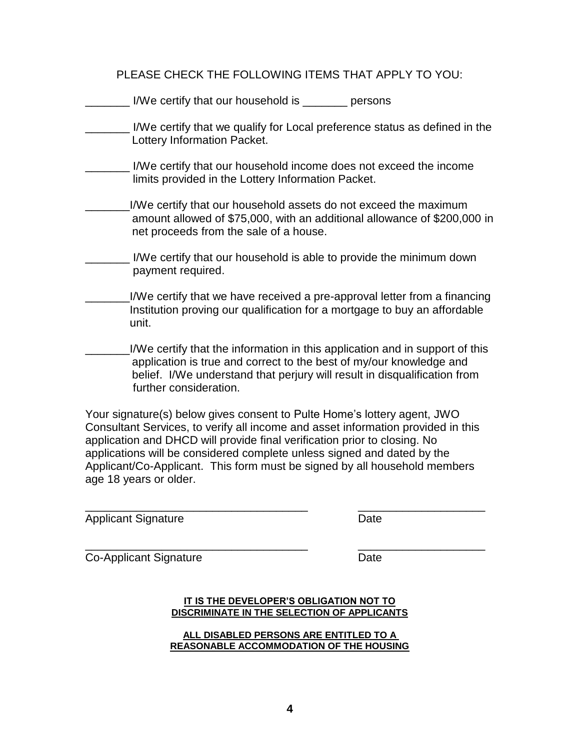PLEASE CHECK THE FOLLOWING ITEMS THAT APPLY TO YOU:

| I/We certify that our household is _______<br>persons                                                                                                                                                                                                      |
|------------------------------------------------------------------------------------------------------------------------------------------------------------------------------------------------------------------------------------------------------------|
| I/We certify that we qualify for Local preference status as defined in the<br>Lottery Information Packet.                                                                                                                                                  |
| I/We certify that our household income does not exceed the income<br>limits provided in the Lottery Information Packet.                                                                                                                                    |
| I/We certify that our household assets do not exceed the maximum<br>amount allowed of \$75,000, with an additional allowance of \$200,000 in<br>net proceeds from the sale of a house.                                                                     |
| I/We certify that our household is able to provide the minimum down<br>payment required.                                                                                                                                                                   |
| I/We certify that we have received a pre-approval letter from a financing<br>Institution proving our qualification for a mortgage to buy an affordable<br>unit.                                                                                            |
| I/We certify that the information in this application and in support of this<br>application is true and correct to the best of my/our knowledge and<br>belief. I/We understand that perjury will result in disqualification from<br>further consideration. |
| Your signature(s) helow gives consent to Pulte Home's lottery agent $\Box M\Box$                                                                                                                                                                           |

Your signature(s) below gives consent to Pulte Home's lottery agent, JWO Consultant Services, to verify all income and asset information provided in this application and DHCD will provide final verification prior to closing. No applications will be considered complete unless signed and dated by the Applicant/Co-Applicant. This form must be signed by all household members age 18 years or older.

\_\_\_\_\_\_\_\_\_\_\_\_\_\_\_\_\_\_\_\_\_\_\_\_\_\_\_\_\_\_\_\_\_\_\_ \_\_\_\_\_\_\_\_\_\_\_\_\_\_\_\_\_\_\_\_

Applicant Signature **Date** Date

\_\_\_\_\_\_\_\_\_\_\_\_\_\_\_\_\_\_\_\_\_\_\_\_\_\_\_\_\_\_\_\_\_\_\_ \_\_\_\_\_\_\_\_\_\_\_\_\_\_\_\_\_\_\_\_ Co-Applicant Signature Date

#### **IT IS THE DEVELOPER'S OBLIGATION NOT TO DISCRIMINATE IN THE SELECTION OF APPLICANTS**

**ALL DISABLED PERSONS ARE ENTITLED TO A REASONABLE ACCOMMODATION OF THE HOUSING**